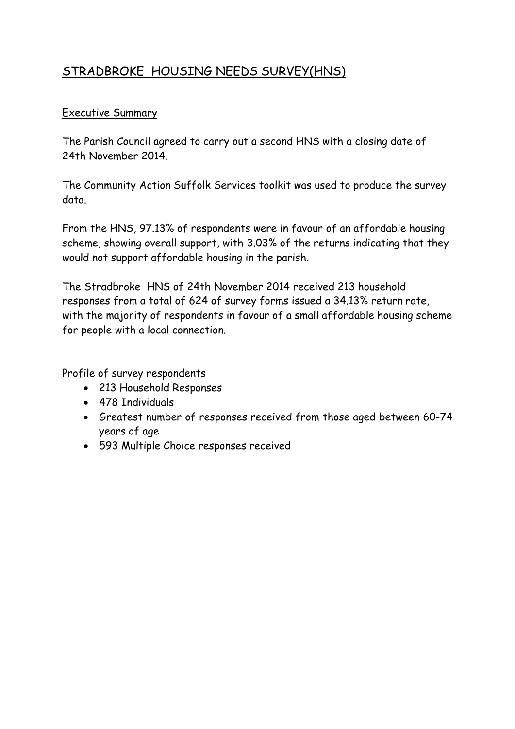# STRADBROKE HOUSING NEEDS SURVEY(HNS)

### Executive Summary

The Parish Council agreed to carry out a second HNS with a closing date of 24th November 2014.

The Community Action Suffolk Services toolkit was used to produce the survey data.

From the HNS, 97.13% of respondents were in favour of an affordable housing scheme, showing overall support, with 3.03% of the returns indicating that they would not support affordable housing in the parish.

The Stradbroke HNS of 24th November 2014 received 213 household responses from a total of 624 of survey forms issued a 34.13% return rate, with the majority of respondents in favour of a small affordable housing scheme for people with a local connection.

Profile of survey respondents

- 213 Household Responses
- 478 Individuals
- Greatest number of responses received from those aged between 60-74 years of age
- 593 Multiple Choice responses received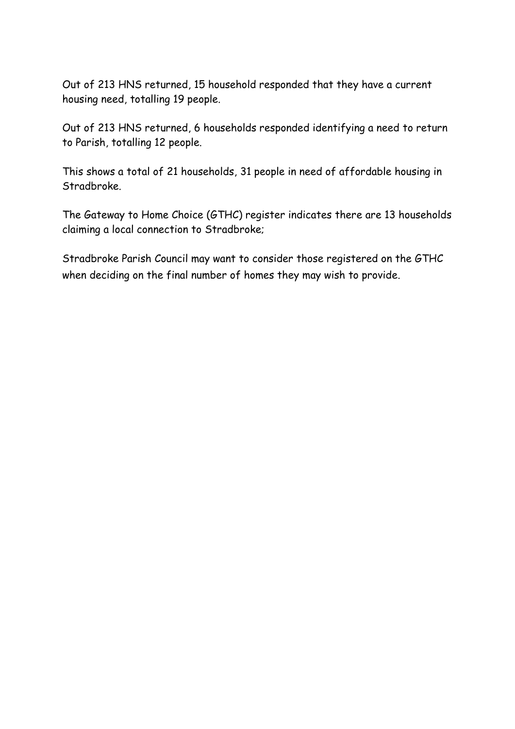Out of 213 HNS returned, 15 household responded that they have a current housing need, totalling 19 people.

Out of 213 HNS returned, 6 households responded identifying a need to return to Parish, totalling 12 people.

This shows a total of 21 households, 31 people in need of affordable housing in Stradbroke.

The Gateway to Home Choice (GTHC) register indicates there are 13 households claiming a local connection to Stradbroke;

Stradbroke Parish Council may want to consider those registered on the GTHC when deciding on the final number of homes they may wish to provide.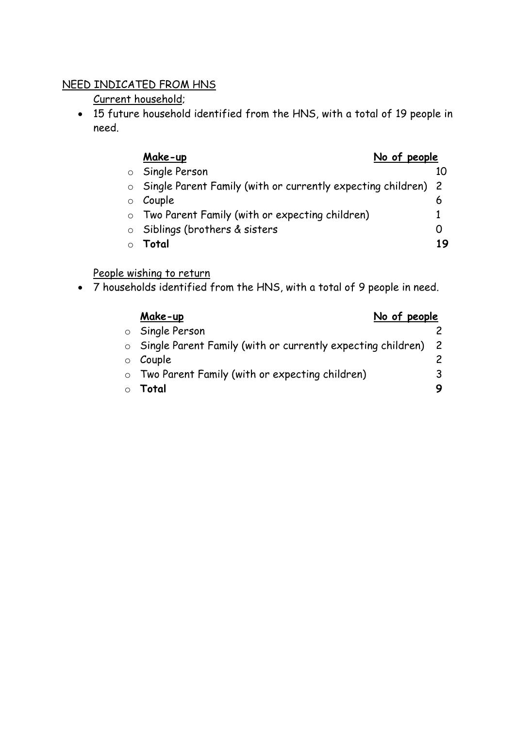### NEED INDICATED FROM HNS

Current household;

 15 future household identified from the HNS, with a total of 19 people in need.

| Make-up | No of people |  |
|---------|--------------|--|
|         |              |  |

|  | people |  |
|--|--------|--|
|  |        |  |

o Single Person 10 o Single Parent Family (with or currently expecting children) 2  $\circ$  Couple 6 o Two Parent Family (with or expecting children) 1 o Siblings (brothers & sisters 0 o **Total 19**

# People wishing to return

7 households identified from the HNS, with a total of 9 people in need.

| No of people<br>Make-up                                         |   |
|-----------------------------------------------------------------|---|
| Single Person                                                   |   |
| ○ Single Parent Family (with or currently expecting children) 2 |   |
| Couple                                                          |   |
| o Two Parent Family (with or expecting children)                | 3 |
| Total                                                           |   |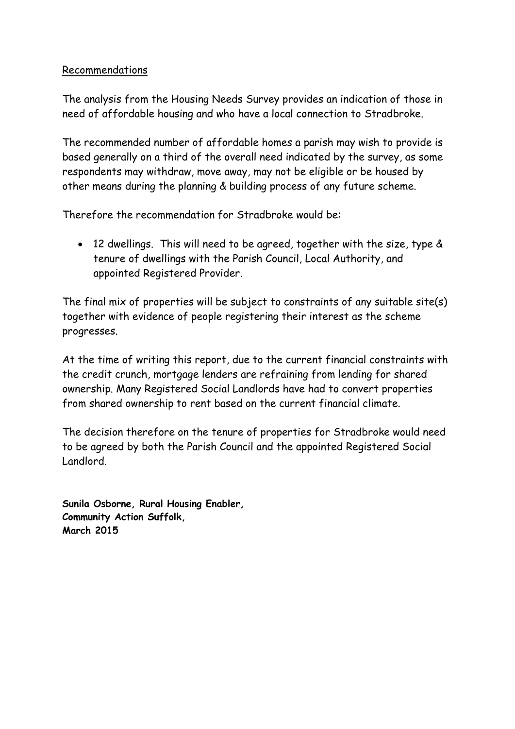#### Recommendations

The analysis from the Housing Needs Survey provides an indication of those in need of affordable housing and who have a local connection to Stradbroke.

The recommended number of affordable homes a parish may wish to provide is based generally on a third of the overall need indicated by the survey, as some respondents may withdraw, move away, may not be eligible or be housed by other means during the planning & building process of any future scheme.

Therefore the recommendation for Stradbroke would be:

 12 dwellings. This will need to be agreed, together with the size, type & tenure of dwellings with the Parish Council, Local Authority, and appointed Registered Provider.

The final mix of properties will be subject to constraints of any suitable site(s) together with evidence of people registering their interest as the scheme progresses.

At the time of writing this report, due to the current financial constraints with the credit crunch, mortgage lenders are refraining from lending for shared ownership. Many Registered Social Landlords have had to convert properties from shared ownership to rent based on the current financial climate.

The decision therefore on the tenure of properties for Stradbroke would need to be agreed by both the Parish Council and the appointed Registered Social Landlord.

**Sunila Osborne, Rural Housing Enabler, Community Action Suffolk, March 2015**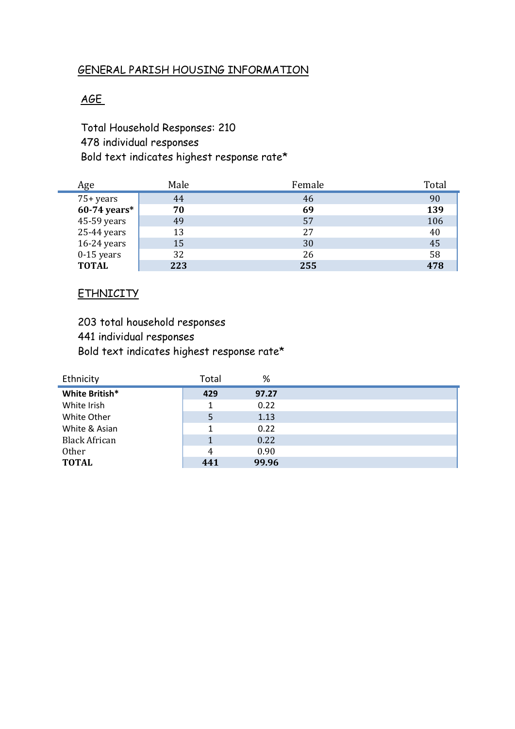#### GENERAL PARISH HOUSING INFORMATION

### AGE

Total Household Responses: 210 478 individual responses Bold text indicates highest response rate\*

| Age            | Male | Female | Total |
|----------------|------|--------|-------|
| 75+ years      | 44   | 46     | 90    |
| $60-74$ years* | 70   | 69     | 139   |
| 45-59 years    | 49   | 57     | 106   |
| 25-44 years    | 13   | 27     | 40    |
| 16-24 years    | 15   | 30     | 45    |
| $0-15$ years   | 32   | 26     | 58    |
| <b>TOTAL</b>   | 223  | 255    | 478   |

#### **ETHNICITY**

203 total household responses 441 individual responses Bold text indicates highest response rate\*

| Ethnicity            | Total | %     |  |
|----------------------|-------|-------|--|
| White British*       | 429   | 97.27 |  |
| White Irish          | 1     | 0.22  |  |
| White Other          | 5     | 1.13  |  |
| White & Asian        | 1     | 0.22  |  |
| <b>Black African</b> |       | 0.22  |  |
| <b>Other</b>         | 4     | 0.90  |  |
| <b>TOTAL</b>         | 441   | 99.96 |  |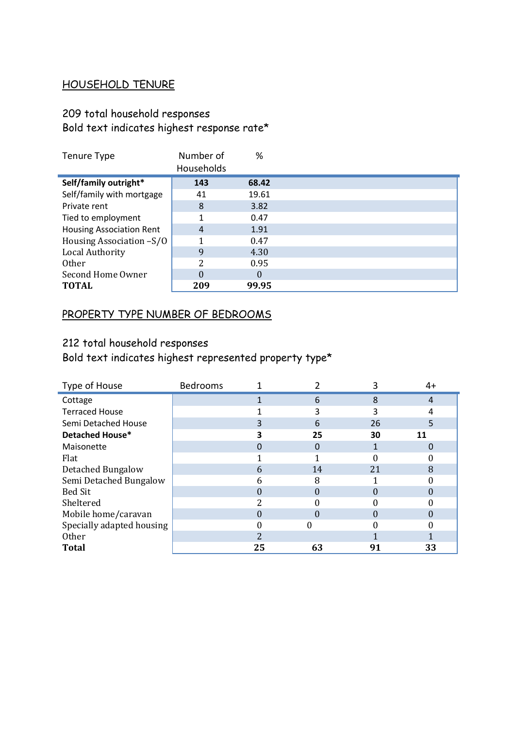# HOUSEHOLD TENURE

# 209 total household responses Bold text indicates highest response rate\*

| Tenure Type                     | Number of      | %        |  |
|---------------------------------|----------------|----------|--|
|                                 | Households     |          |  |
| Self/family outright*           | 143            | 68.42    |  |
| Self/family with mortgage       | 41             | 19.61    |  |
| Private rent                    | 8              | 3.82     |  |
| Tied to employment              |                | 0.47     |  |
| <b>Housing Association Rent</b> | $\overline{4}$ | 1.91     |  |
| Housing Association -S/O        |                | 0.47     |  |
| Local Authority                 | 9              | 4.30     |  |
| <b>Other</b>                    | 2              | 0.95     |  |
| Second Home Owner               | $\Omega$       | $\theta$ |  |
| <b>TOTAL</b>                    | 209            | 99.95    |  |

# PROPERTY TYPE NUMBER OF BEDROOMS

# 212 total household responses

Bold text indicates highest represented property type\*

| Type of House             | Bedrooms |                |    |    | 4+ |
|---------------------------|----------|----------------|----|----|----|
| Cottage                   |          |                | 6  | 8  | 4  |
| <b>Terraced House</b>     |          |                |    | 3  |    |
| Semi Detached House       |          | 3              | 6  | 26 | 5  |
| Detached House*           |          |                | 25 | 30 | 11 |
| Maisonette                |          |                | 0  |    |    |
| Flat                      |          |                |    |    |    |
| Detached Bungalow         |          | 6              | 14 | 21 | 8  |
| Semi Detached Bungalow    |          |                | 8  |    |    |
| <b>Bed Sit</b>            |          |                |    |    |    |
| Sheltered                 |          | ി              |    |    |    |
| Mobile home/caravan       |          |                |    |    |    |
| Specially adapted housing |          |                |    |    |    |
| <b>Other</b>              |          | $\overline{2}$ |    |    |    |
| <b>Total</b>              |          | 25             | 63 | 91 | 33 |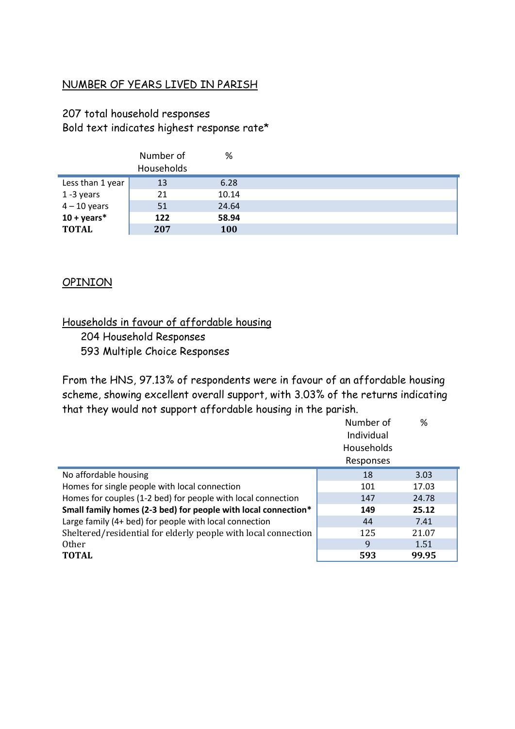### NUMBER OF YEARS LIVED IN PARISH

### 207 total household responses Bold text indicates highest response rate\*

|                       | Number of<br>Households | %     |  |
|-----------------------|-------------------------|-------|--|
| Less than 1 year      | 13                      | 6.28  |  |
| 1-3 years             | 21                      | 10.14 |  |
| $4 - 10$ years        | 51                      | 24.64 |  |
| $10 + \text{years}^*$ | 122                     | 58.94 |  |
| <b>TOTAL</b>          | 207                     | 100   |  |

#### OPINION

### Households in favour of affordable housing 204 Household Responses 593 Multiple Choice Responses

From the HNS, 97.13% of respondents were in favour of an affordable housing scheme, showing excellent overall support, with 3.03% of the returns indicating that they would not support affordable housing in the parish.

|                                                                | Number of<br>Individual | %     |
|----------------------------------------------------------------|-------------------------|-------|
|                                                                | <b>Households</b>       |       |
|                                                                | Responses               |       |
| No affordable housing                                          | 18                      | 3.03  |
| Homes for single people with local connection                  | 101                     | 17.03 |
| Homes for couples (1-2 bed) for people with local connection   | 147                     | 24.78 |
| Small family homes (2-3 bed) for people with local connection* | 149                     | 25.12 |
| Large family (4+ bed) for people with local connection         | 44                      | 7.41  |
| Sheltered/residential for elderly people with local connection | 125                     | 21.07 |
| <b>Other</b>                                                   | 9                       | 1.51  |
| <b>TOTAL</b>                                                   | 593                     | 99.95 |